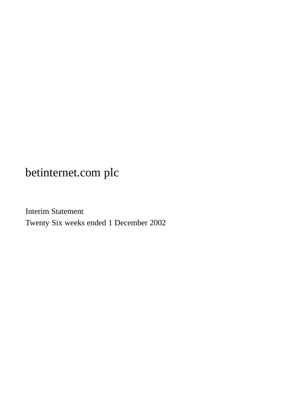Interim Statement Twenty Six weeks ended 1 December 2002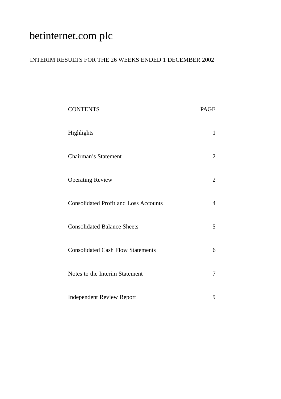## INTERIM RESULTS FOR THE 26 WEEKS ENDED 1 DECEMBER 2002

| <b>CONTENTS</b>                              | PAGE |
|----------------------------------------------|------|
| Highlights                                   | 1    |
| Chairman's Statement                         | 2    |
| <b>Operating Review</b>                      | 2    |
| <b>Consolidated Profit and Loss Accounts</b> | 4    |
| <b>Consolidated Balance Sheets</b>           | 5    |
| <b>Consolidated Cash Flow Statements</b>     | 6    |
| Notes to the Interim Statement               | 7    |
| <b>Independent Review Report</b>             | 9    |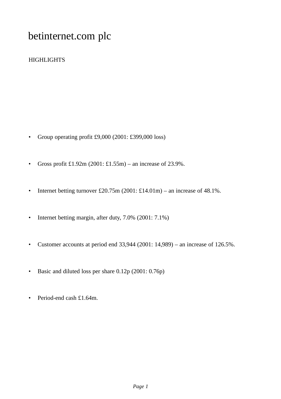## **HIGHLIGHTS**

- Group operating profit £9,000 (2001: £399,000 loss)
- Gross profit  $£1.92m (2001: £1.55m) an increase of 23.9%.$
- Internet betting turnover £20.75m (2001: £14.01m) an increase of 48.1%.
- Internet betting margin, after duty, 7.0% (2001: 7.1%)
- Customer accounts at period end  $33,944$  (2001: 14,989) an increase of 126.5%.
- Basic and diluted loss per share 0.12p (2001: 0.76p)
- Period-end cash £1.64m.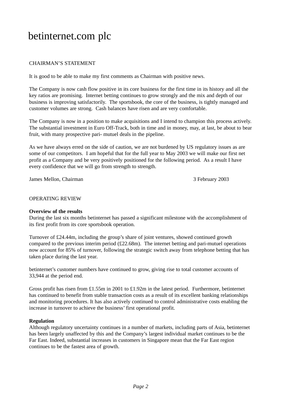## CHAIRMAN'S STATEMENT

It is good to be able to make my first comments as Chairman with positive news.

The Company is now cash flow positive in its core business for the first time in its history and all the key ratios are promising. Internet betting continues to grow strongly and the mix and depth of our business is improving satisfactorily. The sportsbook, the core of the business, is tightly managed and customer volumes are strong. Cash balances have risen and are very comfortable.

The Company is now in a position to make acquisitions and I intend to champion this process actively. The substantial investment in Euro Off-Track, both in time and in money, may, at last, be about to bear fruit, with many prospective pari- mutuel deals in the pipeline.

As we have always erred on the side of caution, we are not burdened by US regulatory issues as are some of our competitors. I am hopeful that for the full year to May 2003 we will make our first net profit as a Company and be very positively positioned for the following period. As a result I have every confidence that we will go from strength to strength.

James Mellon, Chairman 3 February 2003

### OPERATING REVIEW

### **Overview of the results**

During the last six months betinternet has passed a significant milestone with the accomplishment of its first profit from its core sportsbook operation.

Turnover of £24.44m, including the group's share of joint ventures, showed continued growth compared to the previous interim period  $(\text{\pounds}22.68m)$ . The internet betting and pari-mutuel operations now account for 85% of turnover, following the strategic switch away from telephone betting that has taken place during the last year.

betinternet's customer numbers have continued to grow, giving rise to total customer accounts of 33,944 at the period end.

Gross profit has risen from £1.55m in 2001 to £1.92m in the latest period. Furthermore, betinternet has continued to benefit from stable transaction costs as a result of its excellent banking relationships and monitoring procedures. It has also actively continued to control administrative costs enabling the increase in turnover to achieve the business' first operational profit.

### **Regulation**

Although regulatory uncertainty continues in a number of markets, including parts of Asia, betinternet has been largely unaffected by this and the Company's largest individual market continues to be the Far East. Indeed, substantial increases in customers in Singapore mean that the Far East region continues to be the fastest area of growth.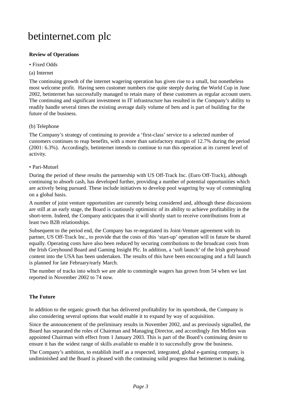## **Review of Operations**

### • Fixed Odds

### (a) Internet

The continuing growth of the internet wagering operation has given rise to a small, but nonetheless most welcome profit. Having seen customer numbers rise quite steeply during the World Cup in June 2002, betinternet has successfully managed to retain many of these customers as regular account users. The continuing and significant investment in IT infrastructure has resulted in the Company's ability to readily handle several times the existing average daily volume of bets and is part of building for the future of the business.

### (b) Telephone

The Company's strategy of continuing to provide a 'first-class' service to a selected number of customers continues to reap benefits, with a more than satisfactory margin of 12.7% during the period (2001: 6.3%). Accordingly, betinternet intends to continue to run this operation at its current level of activity.

### • Pari-Mutuel

During the period of these results the partnership with US Off-Track Inc. (Euro Off-Track), although continuing to absorb cash, has developed further, providing a number of potential opportunities which are actively being pursued. These include initiatives to develop pool wagering by way of commingling on a global basis.

A number of joint venture opportunities are currently being considered and, although these discussions are still at an early stage, the Board is cautiously optimistic of its ability to achieve profitability in the short-term. Indeed, the Company anticipates that it will shortly start to receive contributions from at least two B2B relationships.

Subsequent to the period end, the Company has re-negotiated its Joint-Venture agreement with its partner, US Off-Track Inc., to provide that the costs of this 'start-up' operation will in future be shared equally. Operating costs have also been reduced by securing contributions to the broadcast costs from the Irish Greyhound Board and Gaming Insight Plc. In addition, a 'soft launch' of the Irish greyhound content into the USA has been undertaken. The results of this have been encouraging and a full launch is planned for late February/early March.

The number of tracks into which we are able to commingle wagers has grown from 54 when we last reported in November 2002 to 74 now.

## **The Future**

In addition to the organic growth that has delivered profitability for its sportsbook, the Company is also considering several options that would enable it to expand by way of acquisition.

Since the announcement of the preliminary results in November 2002, and as previously signalled, the Board has separated the roles of Chairman and Managing Director, and accordingly Jim Mellon was appointed Chairman with effect from 1 January 2003. This is part of the Board's continuing desire to ensure it has the widest range of skills available to enable it to successfully grow the business.

The Company's ambition, to establish itself as a respected, integrated, global e-gaming company, is undiminished and the Board is pleased with the continuing solid progress that betinternet is making.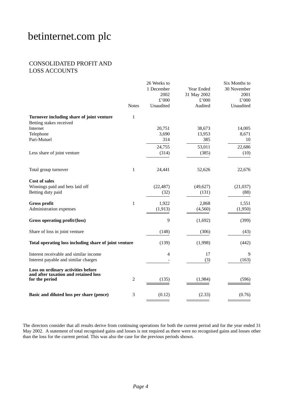## CONSOLIDATED PROFIT AND LOSS ACCOUNTS

|                                                                      |                | 26 Weeks to |             | Six Months to |
|----------------------------------------------------------------------|----------------|-------------|-------------|---------------|
|                                                                      |                | 1 December  | Year Ended  | 30 November   |
|                                                                      |                | 2002        | 31 May 2002 | 2001          |
|                                                                      |                | £'000       | £'000       | £'000         |
|                                                                      | <b>Notes</b>   | Unaudited   | Audited     | Unaudited     |
| Turnover including share of joint venture<br>Betting stakes received | 1              |             |             |               |
| Internet                                                             |                | 20,751      | 38,673      | 14,005        |
| Telephone                                                            |                | 3,690       | 13,953      | 8,671         |
| Pari-Mutuel                                                          |                | 314         | 385         | 10            |
|                                                                      |                | 24,755      | 53,011      | 22,686        |
| Less share of joint venture                                          |                | (314)       | (385)       | (10)          |
|                                                                      |                |             |             |               |
| Total group turnover                                                 | $\mathbf{1}$   | 24,441      | 52,626      | 22,676        |
| <b>Cost of sales</b>                                                 |                |             |             |               |
| Winnings paid and bets laid off                                      |                | (22, 487)   | (49,627)    | (21,037)      |
| Betting duty paid                                                    |                | (32)        | (131)       | (88)          |
| <b>Gross profit</b>                                                  | 1              | 1,922       | 2,868       | 1,551         |
| Administration expenses                                              |                | (1, 913)    | (4,560)     | (1,950)       |
| Gross operating profit/(loss)                                        |                | 9           | (1,692)     | (399)         |
| Share of loss in joint venture                                       |                | (148)       | (306)       | (43)          |
| Total operating loss including share of joint venture                |                | (139)       | (1,998)     | (442)         |
| Interest receivable and similar income                               |                | 4           | 17          | 9             |
| Interest payable and similar charges                                 |                |             | (3)         | (163)         |
| Loss on ordinary activities before                                   |                |             |             |               |
| and after taxation and retained loss<br>for the period               | $\overline{c}$ | (135)       | (1,984)     | (596)         |
|                                                                      |                |             |             |               |
| Basic and diluted loss per share (pence)                             | 3              | (0.12)      | (2.33)      | (0.76)        |

The directors consider that all results derive from continuing operations for both the current period and for the year ended 31 May 2002. A statement of total recognised gains and losses is not required as there were no recognised gains and losses other than the loss for the current period. This was also the case for the previous periods shown.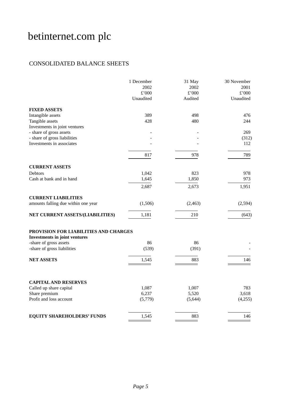## CONSOLIDATED BALANCE SHEETS

|                                                           | 1 December<br>2002<br>£'000 | 31 May<br>2002<br>£'000 | 30 November<br>2001<br>£'000 |
|-----------------------------------------------------------|-----------------------------|-------------------------|------------------------------|
|                                                           | Unaudited                   | Audited                 | Unaudited                    |
| <b>FIXED ASSETS</b>                                       |                             |                         |                              |
| Intangible assets                                         | 389                         | 498                     | 476                          |
| Tangible assets                                           | 428                         | 480                     | 244                          |
| Investments in joint ventures                             |                             |                         |                              |
| - share of gross assets                                   |                             |                         | 269                          |
| - share of gross liabilities<br>Investments in associates |                             |                         | (312)<br>112                 |
|                                                           |                             |                         |                              |
|                                                           | 817                         | 978                     | 789                          |
|                                                           |                             |                         |                              |
| <b>CURRENT ASSETS</b>                                     |                             |                         |                              |
| <b>Debtors</b><br>Cash at bank and in hand                | 1,042                       | 823                     | 978<br>973                   |
|                                                           | 1,645                       | 1,850                   |                              |
|                                                           | 2,687                       | 2,673                   | 1,951                        |
| <b>CURRENT LIABILITIES</b>                                |                             |                         |                              |
| amounts falling due within one year                       | (1,506)                     | (2, 463)                | (2,594)                      |
| NET CURRENT ASSETS/(LIABILITIES)                          | 1,181                       | 210                     | (643)                        |
| PROVISION FOR LIABILITIES AND CHARGES                     |                             |                         |                              |
| <b>Investments in joint ventures</b>                      |                             |                         |                              |
| -share of gross assets                                    | 86                          | 86                      |                              |
| -share of gross liabilities                               | (539)                       | (391)                   |                              |
| <b>NET ASSETS</b>                                         | 1,545                       | 883                     | 146                          |
|                                                           |                             |                         |                              |
| <b>CAPITAL AND RESERVES</b>                               |                             |                         |                              |
| Called up share capital                                   | 1,087                       | 1,007                   | 783                          |
| Share premium                                             | 6,237                       | 5,520                   | 3,618                        |
| Profit and loss account                                   | (5,779)                     | (5,644)                 | (4,255)                      |
|                                                           |                             |                         |                              |
| <b>EQUITY SHAREHOLDERS' FUNDS</b>                         | 1,545                       | 883                     | 146                          |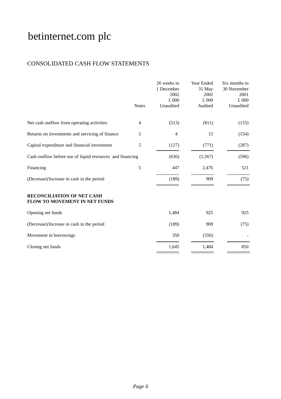## CONSOLIDATED CASH FLOW STATEMENTS

|                                                                    | <b>Notes</b> | 26 weeks to<br>1 December<br>2002<br>£ 000<br>Unaudited | Year Ended<br>31 May<br>2002<br>£ 000<br>Audited | Six months to<br>30 November<br>2001<br>£000<br>Unaudited |
|--------------------------------------------------------------------|--------------|---------------------------------------------------------|--------------------------------------------------|-----------------------------------------------------------|
| Net cash outflow from operating activities                         | 4            | (513)                                                   | (811)                                            | (155)                                                     |
| Returns on investments and servicing of finance                    | 5            | 4                                                       | 15                                               | (154)                                                     |
| Capital expenditure and financial investment                       | 5            | (127)                                                   | (771)                                            | (287)                                                     |
| Cash outflow before use of liquid resources and financing          |              | (636)                                                   | (1, 567)                                         | (596)                                                     |
| Financing                                                          | 5            | 447                                                     | 2,476                                            | 521                                                       |
| (Decrease)/Increase in cash in the period                          |              | (189)                                                   | 909                                              | (75)                                                      |
| <b>RECONCILIATION OF NET CASH</b><br>FLOW TO MOVEMENT IN NET FUNDS |              |                                                         |                                                  |                                                           |
| Opening net funds                                                  |              | 1,484                                                   | 925                                              | 925                                                       |
| (Decrease)/Increase in cash in the period                          |              | (189)                                                   | 909                                              | (75)                                                      |
| Movement in borrowings                                             |              | 350                                                     | (350)                                            |                                                           |
| Closing net funds                                                  |              | 1,645                                                   | 1,484                                            | 850                                                       |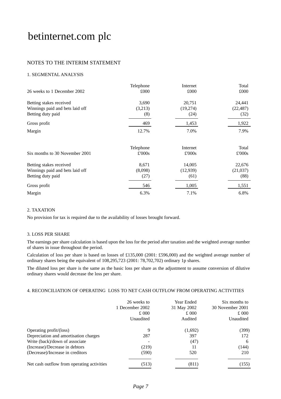### NOTES TO THE INTERIM STATEMENT

### 1. SEGMENTAL ANALYSIS

| 26 weeks to 1 December 2002                                                     | Telephone<br>£000        | Internet<br>£000           | Total<br>£000              |
|---------------------------------------------------------------------------------|--------------------------|----------------------------|----------------------------|
| Betting stakes received<br>Winnings paid and bets laid off                      | 3,690<br>(3,213)         | 20,751<br>(19,274)         | 24,441<br>(22, 487)        |
| Betting duty paid                                                               | (8)                      | (24)                       | (32)                       |
| Gross profit                                                                    | 469                      | 1,453                      | 1,922                      |
| Margin                                                                          | 12.7%                    | 7.0%                       | 7.9%                       |
| Six months to 30 November 2001                                                  | Telephone<br>£'000s      | Internet<br>£'000s         | Total<br>£'000s            |
| Betting stakes received<br>Winnings paid and bets laid off<br>Betting duty paid | 8,671<br>(8,098)<br>(27) | 14,005<br>(12,939)<br>(61) | 22,676<br>(21,037)<br>(88) |
| Gross profit                                                                    | 546                      | 1,005                      | 1,551                      |
| Margin                                                                          | 6.3%                     | 7.1%                       | 6.8%                       |

#### 2. TAXATION

No provision for tax is required due to the availability of losses brought forward.

#### 3. LOSS PER SHARE

The earnings per share calculation is based upon the loss for the period after taxation and the weighted average number of shares in issue throughout the period.

Calculation of loss per share is based on losses of £135,000 (2001: £596,000) and the weighted average number of ordinary shares being the equivalent of 108,295,723 (2001: 78,702,702) ordinary 1p shares.

The diluted loss per share is the same as the basic loss per share as the adjustment to assume conversion of dilutive ordinary shares would decrease the loss per share.

### 4. RECONCILIATION OF OPERATING LOSS TO NET CASH OUTFLOW FROM OPERATING ACTIVITIES

|                                            | 26 weeks to<br>1 December 2002<br>£000 | Year Ended<br>31 May 2002<br>£000 | Six months to<br>30 November 2001<br>£000 |
|--------------------------------------------|----------------------------------------|-----------------------------------|-------------------------------------------|
|                                            | Unaudited                              | Audited                           | Unaudited                                 |
| Operating profit/(loss)                    | 9                                      | (1,692)                           | (399)                                     |
| Depreciation and amortisation charges      | 287                                    | 397                               | 172                                       |
| Write (back)/down of associate             |                                        | (47)                              | 6                                         |
| (Increase)/Decrease in debtors             | (219)                                  | 11                                | (144)                                     |
| (Decrease)/Increase in creditors           | (590)                                  | 520                               | 210                                       |
| Net cash outflow from operating activities | (513)                                  | (811)                             | (155)                                     |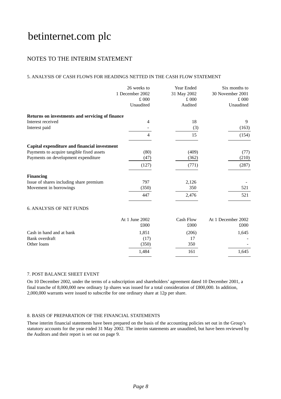## NOTES TO THE INTERIM STATEMENT

### 5. ANALYSIS OF CASH FLOWS FOR HEADINGS NETTED IN THE CASH FLOW STATEMENT

|                                                 | 26 weeks to<br>1 December 2002<br>£000<br>Unaudited | Year Ended<br>31 May 2002<br>£ 000<br>Audited | Six months to<br>30 November 2001<br>£ 000<br>Unaudited |
|-------------------------------------------------|-----------------------------------------------------|-----------------------------------------------|---------------------------------------------------------|
| Returns on investments and servicing of finance |                                                     |                                               |                                                         |
| Interest received                               | 4                                                   | 18                                            | 9                                                       |
| Interest paid                                   |                                                     | (3)                                           | (163)                                                   |
|                                                 | $\overline{4}$                                      | 15                                            | (154)                                                   |
| Capital expenditure and financial investment    |                                                     |                                               |                                                         |
| Payments to acquire tangible fixed assets       | (80)                                                | (409)                                         | (77)                                                    |
| Payments on development expenditure             | (47)                                                | (362)                                         | (210)                                                   |
|                                                 | (127)                                               | (771)                                         | (287)                                                   |
| <b>Financing</b>                                |                                                     |                                               |                                                         |
| Issue of shares including share premium         | 797                                                 | 2,126                                         |                                                         |
| Movement in borrowings                          | (350)                                               | 350                                           | 521                                                     |
|                                                 | 447                                                 | 2,476                                         | 521                                                     |
| <b>6. ANALYSIS OF NET FUNDS</b>                 |                                                     |                                               |                                                         |
|                                                 | At 1 June 2002                                      | Cash Flow                                     | At 1 December 2002                                      |
|                                                 | £000                                                | £000                                          | £000                                                    |
| Cash in hand and at bank                        | 1,851                                               | (206)                                         | 1,645                                                   |
| Bank overdraft                                  | (17)                                                | 17                                            |                                                         |
| Other loans                                     | (350)                                               | 350                                           |                                                         |
|                                                 | 1,484                                               | 161                                           | 1,645                                                   |

#### 7. POST BALANCE SHEET EVENT

On 10 December 2002, under the terms of a subscription and shareholders' agreement dated 10 December 2001, a final tranche of 8,000,000 new ordinary 1p shares was issued for a total consideration of £800,000. In addition, 2,000,000 warrants were issued to subscribe for one ordinary share at 12p per share.

### 8. BASIS OF PREPARATION OF THE FINANCIAL STATEMENTS

These interim financial statements have been prepared on the basis of the accounting policies set out in the Group's statutory accounts for the year ended 31 May 2002. The interim statements are unaudited, but have been reviewed by the Auditors and their report is set out on page 9.